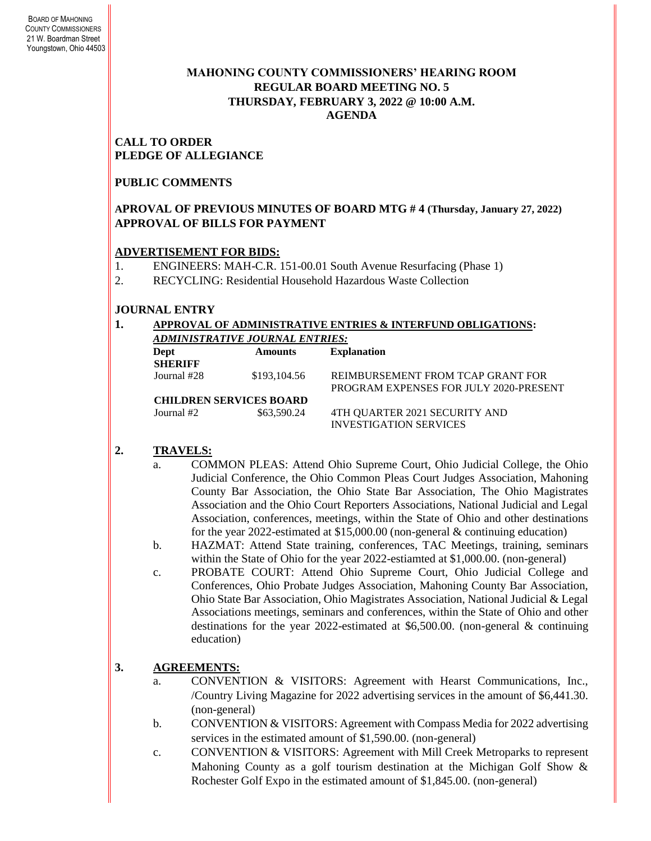## **MAHONING COUNTY COMMISSIONERS' HEARING ROOM REGULAR BOARD MEETING NO. 5 THURSDAY***,* **FEBRUARY 3, 2022 @ 10:00 A.M. AGENDA**

### **CALL TO ORDER PLEDGE OF ALLEGIANCE**

## **PUBLIC COMMENTS**

## **APROVAL OF PREVIOUS MINUTES OF BOARD MTG # 4 (Thursday, January 27, 2022) APPROVAL OF BILLS FOR PAYMENT**

## **ADVERTISEMENT FOR BIDS:**

- 1. ENGINEERS: MAH-C.R. 151-00.01 South Avenue Resurfacing (Phase 1)
- 2. RECYCLING: Residential Household Hazardous Waste Collection

# **JOURNAL ENTRY**

### **1. APPROVAL OF ADMINISTRATIVE ENTRIES & INTERFUND OBLIGATIONS:**  *ADMINISTRATIVE JOURNAL ENTRIES:*

| Dept<br><b>SHERIFF</b> | <b>Amounts</b>                 | <b>Explanation</b>                                                          |
|------------------------|--------------------------------|-----------------------------------------------------------------------------|
| Journal #28            | \$193,104.56                   | REIMBURSEMENT FROM TCAP GRANT FOR<br>PROGRAM EXPENSES FOR JULY 2020-PRESENT |
|                        | <b>CHILDREN SERVICES BOARD</b> |                                                                             |
| Journal $#2$           | \$63,590.24                    | 4TH QUARTER 2021 SECURITY AND<br><b>INVESTIGATION SERVICES</b>              |

# **2. TRAVELS:**

- a. COMMON PLEAS: Attend Ohio Supreme Court, Ohio Judicial College, the Ohio Judicial Conference, the Ohio Common Pleas Court Judges Association, Mahoning County Bar Association, the Ohio State Bar Association, The Ohio Magistrates Association and the Ohio Court Reporters Associations, National Judicial and Legal Association, conferences, meetings, within the State of Ohio and other destinations for the year 2022-estimated at \$15,000.00 (non-general & continuing education)
- b. HAZMAT: Attend State training, conferences, TAC Meetings, training, seminars within the State of Ohio for the year 2022-estiamted at \$1,000.00. (non-general)
- c. PROBATE COURT: Attend Ohio Supreme Court, Ohio Judicial College and Conferences, Ohio Probate Judges Association, Mahoning County Bar Association, Ohio State Bar Association, Ohio Magistrates Association, National Judicial & Legal Associations meetings, seminars and conferences, within the State of Ohio and other destinations for the year 2022-estimated at \$6,500.00. (non-general & continuing education)

# **3. AGREEMENTS:**

- a. CONVENTION & VISITORS: Agreement with Hearst Communications, Inc., /Country Living Magazine for 2022 advertising services in the amount of \$6,441.30. (non-general)
- b. CONVENTION & VISITORS: Agreement with Compass Media for 2022 advertising services in the estimated amount of \$1,590.00. (non-general)
- c. CONVENTION & VISITORS: Agreement with Mill Creek Metroparks to represent Mahoning County as a golf tourism destination at the Michigan Golf Show & Rochester Golf Expo in the estimated amount of \$1,845.00. (non-general)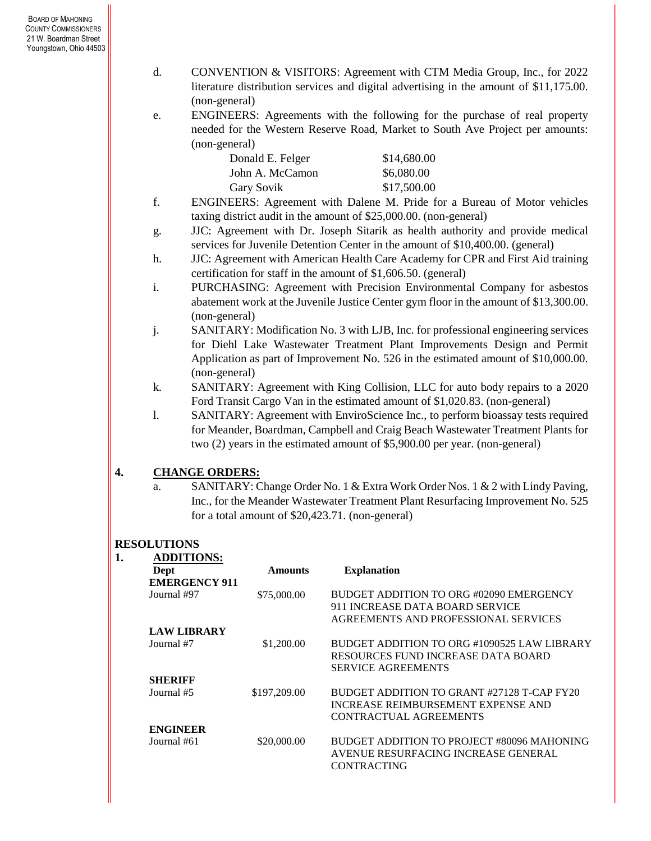- d. CONVENTION & VISITORS: Agreement with CTM Media Group, Inc., for 2022 literature distribution services and digital advertising in the amount of \$11,175.00. (non-general)
- e. ENGINEERS: Agreements with the following for the purchase of real property needed for the Western Reserve Road, Market to South Ave Project per amounts: (non-general)

| Donald E. Felger  | \$14,680.00 |
|-------------------|-------------|
| John A. McCamon   | \$6,080.00  |
| <b>Gary Sovik</b> | \$17,500.00 |

- f. ENGINEERS: Agreement with Dalene M. Pride for a Bureau of Motor vehicles taxing district audit in the amount of \$25,000.00. (non-general)
- g. JJC: Agreement with Dr. Joseph Sitarik as health authority and provide medical services for Juvenile Detention Center in the amount of \$10,400.00. (general)
- h. JJC: Agreement with American Health Care Academy for CPR and First Aid training certification for staff in the amount of \$1,606.50. (general)
- i. PURCHASING: Agreement with Precision Environmental Company for asbestos abatement work at the Juvenile Justice Center gym floor in the amount of \$13,300.00. (non-general)
- j. SANITARY: Modification No. 3 with LJB, Inc. for professional engineering services for Diehl Lake Wastewater Treatment Plant Improvements Design and Permit Application as part of Improvement No. 526 in the estimated amount of \$10,000.00. (non-general)
- k. SANITARY: Agreement with King Collision, LLC for auto body repairs to a 2020 Ford Transit Cargo Van in the estimated amount of \$1,020.83. (non-general)
- l. SANITARY: Agreement with EnviroScience Inc., to perform bioassay tests required for Meander, Boardman, Campbell and Craig Beach Wastewater Treatment Plants for two (2) years in the estimated amount of \$5,900.00 per year. (non-general)

## **4. CHANGE ORDERS:**

a. SANITARY: Change Order No. 1 & Extra Work Order Nos. 1 & 2 with Lindy Paving, Inc., for the Meander Wastewater Treatment Plant Resurfacing Improvement No. 525 for a total amount of \$20,423.71. (non-general)

# **RESOLUTIONS**

| Dept                 | <b>Amounts</b> | <b>Explanation</b>                          |
|----------------------|----------------|---------------------------------------------|
| <b>EMERGENCY 911</b> |                |                                             |
| Journal #97          | \$75,000.00    | BUDGET ADDITION TO ORG #02090 EMERGENCY     |
|                      |                | 911 INCREASE DATA BOARD SERVICE             |
|                      |                | AGREEMENTS AND PROFESSIONAL SERVICES        |
| <b>LAW LIBRARY</b>   |                |                                             |
| Journal #7           | \$1,200.00     | BUDGET ADDITION TO ORG #1090525 LAW LIBRARY |
|                      |                | RESOURCES FUND INCREASE DATA BOARD          |
|                      |                | <b>SERVICE AGREEMENTS</b>                   |
| <b>SHERIFF</b>       |                |                                             |
| Journal #5           | \$197,209.00   | BUDGET ADDITION TO GRANT #27128 T-CAP FY20  |
|                      |                | <b>INCREASE REIMBURSEMENT EXPENSE AND</b>   |
|                      |                | CONTRACTUAL AGREEMENTS                      |
| <b>ENGINEER</b>      |                |                                             |
| Journal #61          | \$20,000.00    | BUDGET ADDITION TO PROJECT #80096 MAHONING  |
|                      |                | AVENUE RESURFACING INCREASE GENERAL         |
|                      |                | <b>CONTRACTING</b>                          |